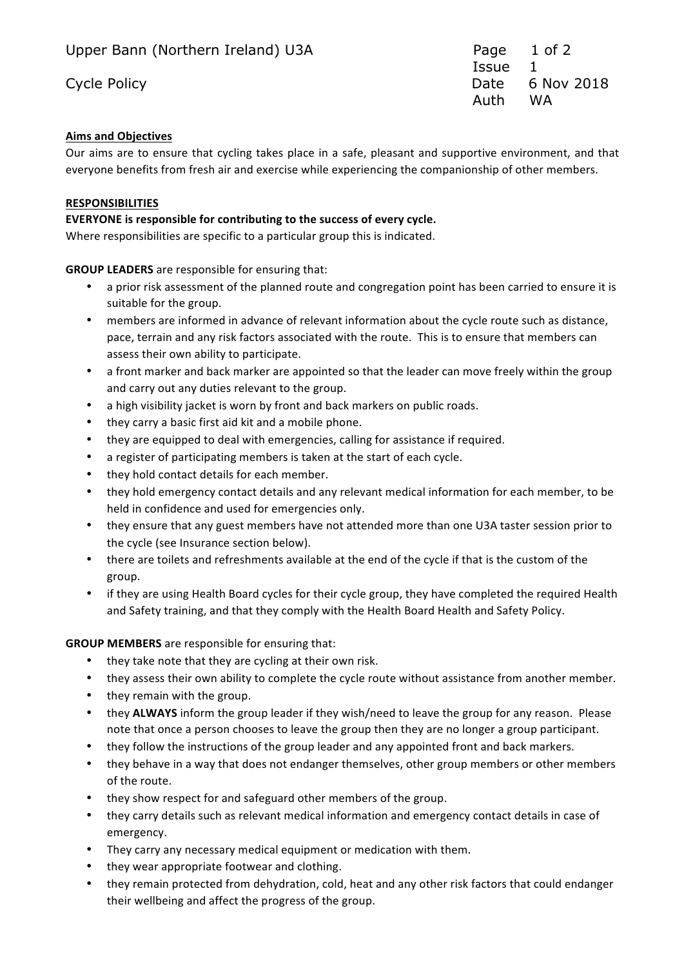**ISSUE** 1 Cycle Policy **Date 6 Nov 2018** Auth WA

# **Aims and Objectives**

Our aims are to ensure that cycling takes place in a safe, pleasant and supportive environment, and that everyone benefits from fresh air and exercise while experiencing the companionship of other members.

# **RESPONSIBILITIES**

# **EVERYONE** is responsible for contributing to the success of every cycle.

Where responsibilities are specific to a particular group this is indicated.

**GROUP LEADERS** are responsible for ensuring that:

- a prior risk assessment of the planned route and congregation point has been carried to ensure it is suitable for the group.
- members are informed in advance of relevant information about the cycle route such as distance, pace, terrain and any risk factors associated with the route. This is to ensure that members can assess their own ability to participate.
- a front marker and back marker are appointed so that the leader can move freely within the group and carry out any duties relevant to the group.
- a high visibility jacket is worn by front and back markers on public roads.
- they carry a basic first aid kit and a mobile phone.
- they are equipped to deal with emergencies, calling for assistance if required.
- a register of participating members is taken at the start of each cycle.
- they hold contact details for each member.
- they hold emergency contact details and any relevant medical information for each member, to be held in confidence and used for emergencies only.
- they ensure that any guest members have not attended more than one U3A taster session prior to the cycle (see Insurance section below).
- there are toilets and refreshments available at the end of the cycle if that is the custom of the group.
- if they are using Health Board cycles for their cycle group, they have completed the required Health and Safety training, and that they comply with the Health Board Health and Safety Policy.

# **GROUP MEMBERS** are responsible for ensuring that:

- they take note that they are cycling at their own risk.
- they assess their own ability to complete the cycle route without assistance from another member.
- they remain with the group.
- they **ALWAYS** inform the group leader if they wish/need to leave the group for any reason. Please note that once a person chooses to leave the group then they are no longer a group participant.
- they follow the instructions of the group leader and any appointed front and back markers.
- they behave in a way that does not endanger themselves, other group members or other members of the route.
- they show respect for and safeguard other members of the group.
- they carry details such as relevant medical information and emergency contact details in case of emergency.
- They carry any necessary medical equipment or medication with them.
- they wear appropriate footwear and clothing.
- they remain protected from dehydration, cold, heat and any other risk factors that could endanger their wellbeing and affect the progress of the group.